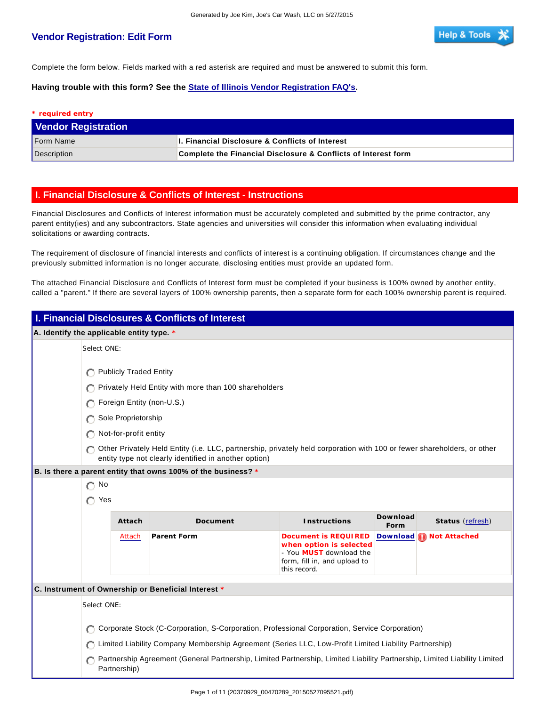## **Vendor Registration: Edit Form**

Complete the form below. Fields marked with a red asterisk are required and must be answered to submit this form.

**Having trouble with this form? See the State of Illinois Vendor Registration FAQ's.**

| * required entry           |                                                                |  |
|----------------------------|----------------------------------------------------------------|--|
| <b>Vendor Registration</b> |                                                                |  |
| <b>Form Name</b>           | <b>J. Financial Disclosure &amp; Conflicts of Interest</b>     |  |
| Description                | Complete the Financial Disclosure & Conflicts of Interest form |  |

## **I. Financial Disclosure & Conflicts of Interest - Instructions**

Financial Disclosures and Conflicts of Interest information must be accurately completed and submitted by the prime contractor, any parent entity(ies) and any subcontractors. State agencies and universities will consider this information when evaluating individual solicitations or awarding contracts.

The requirement of disclosure of financial interests and conflicts of interest is a continuing obligation. If circumstances change and the previously submitted information is no longer accurate, disclosing entities must provide an updated form.

The attached Financial Disclosure and Conflicts of Interest form must be completed if your business is 100% owned by another entity, called a "parent." If there are several layers of 100% ownership parents, then a separate form for each 100% ownership parent is required.

| I. Financial Disclosures & Conflicts of Interest |                                                                                               |                                                                                                                                                                                  |                                                                                                                            |                  |                           |
|--------------------------------------------------|-----------------------------------------------------------------------------------------------|----------------------------------------------------------------------------------------------------------------------------------------------------------------------------------|----------------------------------------------------------------------------------------------------------------------------|------------------|---------------------------|
| A. Identify the applicable entity type. *        |                                                                                               |                                                                                                                                                                                  |                                                                                                                            |                  |                           |
| Select ONE:                                      |                                                                                               |                                                                                                                                                                                  |                                                                                                                            |                  |                           |
|                                                  | <b>Publicly Traded Entity</b>                                                                 |                                                                                                                                                                                  |                                                                                                                            |                  |                           |
|                                                  |                                                                                               | Privately Held Entity with more than 100 shareholders                                                                                                                            |                                                                                                                            |                  |                           |
|                                                  | Foreign Entity (non-U.S.)                                                                     |                                                                                                                                                                                  |                                                                                                                            |                  |                           |
|                                                  |                                                                                               |                                                                                                                                                                                  |                                                                                                                            |                  |                           |
|                                                  | Sole Proprietorship                                                                           |                                                                                                                                                                                  |                                                                                                                            |                  |                           |
|                                                  | Not-for-profit entity                                                                         |                                                                                                                                                                                  |                                                                                                                            |                  |                           |
|                                                  |                                                                                               | Other Privately Held Entity (i.e. LLC, partnership, privately held corporation with 100 or fewer shareholders, or other<br>entity type not clearly identified in another option) |                                                                                                                            |                  |                           |
|                                                  |                                                                                               | B. Is there a parent entity that owns 100% of the business? *                                                                                                                    |                                                                                                                            |                  |                           |
| $\bigcap$ No                                     |                                                                                               |                                                                                                                                                                                  |                                                                                                                            |                  |                           |
| C Yes                                            |                                                                                               |                                                                                                                                                                                  |                                                                                                                            |                  |                           |
|                                                  | Attach                                                                                        | Document                                                                                                                                                                         | <b>Instructions</b>                                                                                                        | Download<br>Form | Status (refresh)          |
|                                                  | Attach                                                                                        | Parent Form                                                                                                                                                                      | Document is REQUIRED<br>when option is selected<br>- You MUST download the<br>form, fill in, and upload to<br>this record. |                  | Download (a) Not Attached |
|                                                  |                                                                                               | C. Instrument of Ownership or Beneficial Interest *                                                                                                                              |                                                                                                                            |                  |                           |
| Select ONE:                                      |                                                                                               |                                                                                                                                                                                  |                                                                                                                            |                  |                           |
|                                                  |                                                                                               |                                                                                                                                                                                  |                                                                                                                            |                  |                           |
|                                                  | Corporate Stock (C-Corporation, S-Corporation, Professional Corporation, Service Corporation) |                                                                                                                                                                                  |                                                                                                                            |                  |                           |
|                                                  |                                                                                               | Limited Liability Company Membership Agreement (Series LLC, Low-Profit Limited Liability Partnership)                                                                            |                                                                                                                            |                  |                           |
|                                                  | Partnership)                                                                                  | Partnership Agreement (General Partnership, Limited Partnership, Limited Liability Partnership, Limited Liability Limited                                                        |                                                                                                                            |                  |                           |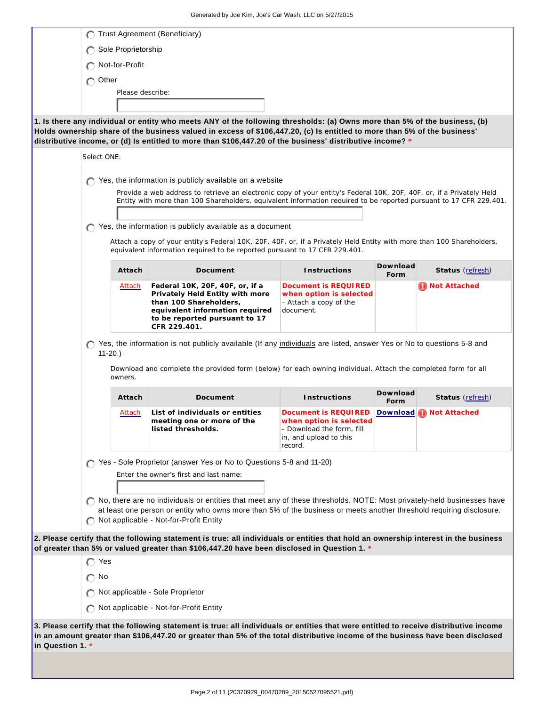|                  |                            | Trust Agreement (Beneficiary)                                                                                                                                                                                                                                                                                                                                         |                                                                                                                   |                  |                           |
|------------------|----------------------------|-----------------------------------------------------------------------------------------------------------------------------------------------------------------------------------------------------------------------------------------------------------------------------------------------------------------------------------------------------------------------|-------------------------------------------------------------------------------------------------------------------|------------------|---------------------------|
|                  | Sole Proprietorship        |                                                                                                                                                                                                                                                                                                                                                                       |                                                                                                                   |                  |                           |
|                  | Not-for-Profit             |                                                                                                                                                                                                                                                                                                                                                                       |                                                                                                                   |                  |                           |
|                  | Other<br>O                 |                                                                                                                                                                                                                                                                                                                                                                       |                                                                                                                   |                  |                           |
|                  | Please describe:           |                                                                                                                                                                                                                                                                                                                                                                       |                                                                                                                   |                  |                           |
|                  |                            |                                                                                                                                                                                                                                                                                                                                                                       |                                                                                                                   |                  |                           |
|                  |                            | 1. Is there any individual or entity who meets ANY of the following thresholds: (a) Owns more than 5% of the business, (b)<br>Holds ownership share of the business valued in excess of \$106,447.20, (c) Is entitled to more than 5% of the business'<br>distributive income, or (d) Is entitled to more than \$106,447.20 of the business' distributive income? $*$ |                                                                                                                   |                  |                           |
|                  | Select ONE:                |                                                                                                                                                                                                                                                                                                                                                                       |                                                                                                                   |                  |                           |
|                  |                            | Yes, the information is publicly available on a website                                                                                                                                                                                                                                                                                                               |                                                                                                                   |                  |                           |
|                  |                            | Provide a web address to retrieve an electronic copy of your entity's Federal 10K, 20F, 40F, or, if a Privately Held<br>Entity with more than 100 Shareholders, equivalent information required to be reported pursuant to 17 CFR 229.401.                                                                                                                            |                                                                                                                   |                  |                           |
|                  |                            | Yes, the information is publicly available as a document                                                                                                                                                                                                                                                                                                              |                                                                                                                   |                  |                           |
|                  |                            | Attach a copy of your entity's Federal 10K, 20F, 40F, or, if a Privately Held Entity with more than 100 Shareholders,<br>equivalent information required to be reported pursuant to 17 CFR 229.401.                                                                                                                                                                   |                                                                                                                   |                  |                           |
|                  | Attach                     | Document                                                                                                                                                                                                                                                                                                                                                              | Instructions                                                                                                      | Download<br>Form | Status (refresh)          |
|                  | Attach                     | Federal 10K, 20F, 40F, or, if a<br>Privately Held Entity with more<br>than 100 Shareholders,<br>equivalent information required<br>to be reported pursuant to 17<br>CFR 229.401.                                                                                                                                                                                      | Document is REQUIRED<br>when option is selected<br>- Attach a copy of the<br>document.                            |                  | <b>O</b> Not Attached     |
|                  | O<br>$11-20.$ )<br>owners. | Yes, the information is not publicly available (If any individuals are listed, answer Yes or No to questions 5-8 and<br>Download and complete the provided form (below) for each owning individual. Attach the completed form for all                                                                                                                                 |                                                                                                                   |                  |                           |
|                  | Attach                     | Document                                                                                                                                                                                                                                                                                                                                                              | Instructions                                                                                                      | Download<br>Form | Status (refresh)          |
|                  | Attach                     | List of individuals or entities<br>meeting one or more of the<br>listed thresholds.                                                                                                                                                                                                                                                                                   | Document is REQUIRED<br>when option is selected<br>- Download the form, fill<br>in, and upload to this<br>record. |                  | Download (1) Not Attached |
|                  |                            | Yes - Sole Proprietor (answer Yes or No to Questions 5-8 and 11-20)                                                                                                                                                                                                                                                                                                   |                                                                                                                   |                  |                           |
|                  |                            | Enter the owner's first and last name:                                                                                                                                                                                                                                                                                                                                |                                                                                                                   |                  |                           |
|                  |                            | No, there are no individuals or entities that meet any of these thresholds. NOTE: Most privately-held businesses have<br>at least one person or entity who owns more than 5% of the business or meets another threshold requiring disclosure.<br>Not applicable - Not-for-Profit Entity                                                                               |                                                                                                                   |                  |                           |
|                  |                            | 2. Please certify that the following statement is true: all individuals or entities that hold an ownership interest in the business<br>of greater than 5% or valued greater than \$106,447.20 have been disclosed in Question 1. *                                                                                                                                    |                                                                                                                   |                  |                           |
|                  | Yes                        |                                                                                                                                                                                                                                                                                                                                                                       |                                                                                                                   |                  |                           |
|                  | ∩ No                       |                                                                                                                                                                                                                                                                                                                                                                       |                                                                                                                   |                  |                           |
|                  |                            | Not applicable - Sole Proprietor                                                                                                                                                                                                                                                                                                                                      |                                                                                                                   |                  |                           |
|                  |                            | Not applicable - Not-for-Profit Entity                                                                                                                                                                                                                                                                                                                                |                                                                                                                   |                  |                           |
| in Question 1. * |                            | 3. Please certify that the following statement is true: all individuals or entities that were entitled to receive distributive income<br>in an amount greater than \$106,447.20 or greater than 5% of the total distributive income of the business have been disclosed                                                                                               |                                                                                                                   |                  |                           |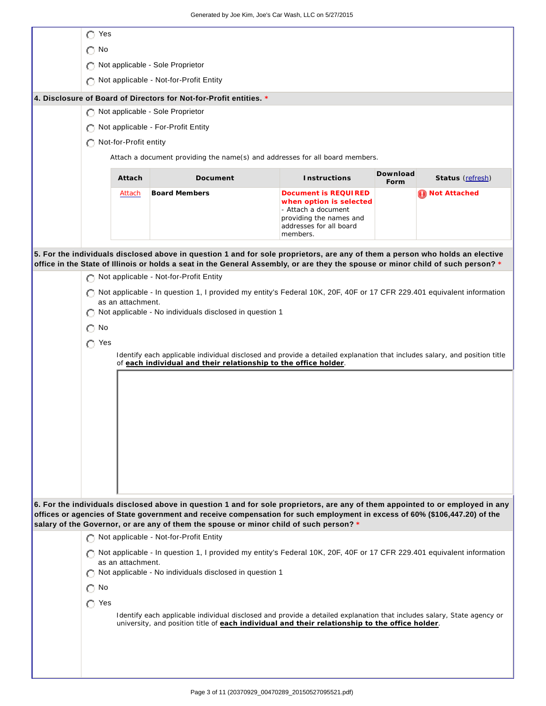| Yes                                                                |                       |                                                                                                                                                                                                                                                                                                                                                         |                                                                                                                                          |                  |                  |
|--------------------------------------------------------------------|-----------------------|---------------------------------------------------------------------------------------------------------------------------------------------------------------------------------------------------------------------------------------------------------------------------------------------------------------------------------------------------------|------------------------------------------------------------------------------------------------------------------------------------------|------------------|------------------|
| No<br>∩                                                            |                       |                                                                                                                                                                                                                                                                                                                                                         |                                                                                                                                          |                  |                  |
| Not applicable - Sole Proprietor                                   |                       |                                                                                                                                                                                                                                                                                                                                                         |                                                                                                                                          |                  |                  |
|                                                                    |                       | Not applicable - Not-for-Profit Entity                                                                                                                                                                                                                                                                                                                  |                                                                                                                                          |                  |                  |
| 4. Disclosure of Board of Directors for Not-for-Profit entities. * |                       |                                                                                                                                                                                                                                                                                                                                                         |                                                                                                                                          |                  |                  |
|                                                                    |                       | Not applicable - Sole Proprietor                                                                                                                                                                                                                                                                                                                        |                                                                                                                                          |                  |                  |
|                                                                    |                       | Not applicable - For-Profit Entity                                                                                                                                                                                                                                                                                                                      |                                                                                                                                          |                  |                  |
|                                                                    | Not-for-Profit entity |                                                                                                                                                                                                                                                                                                                                                         |                                                                                                                                          |                  |                  |
|                                                                    |                       | Attach a document providing the name(s) and addresses for all board members.                                                                                                                                                                                                                                                                            |                                                                                                                                          |                  |                  |
|                                                                    | Attach                | Document                                                                                                                                                                                                                                                                                                                                                | Instructions                                                                                                                             | Download<br>Form | Status (refresh) |
|                                                                    | Attach                | <b>Board Members</b>                                                                                                                                                                                                                                                                                                                                    | Document is REQUIRED<br>when option is selected<br>- Attach a document<br>providing the names and<br>addresses for all board<br>members. |                  | Not Attached     |
|                                                                    |                       | 5. For the individuals disclosed above in question 1 and for sole proprietors, are any of them a person who holds an elective                                                                                                                                                                                                                           |                                                                                                                                          |                  |                  |
|                                                                    |                       | office in the State of Illinois or holds a seat in the General Assembly, or are they the spouse or minor child of such person? *                                                                                                                                                                                                                        |                                                                                                                                          |                  |                  |
|                                                                    |                       | Not applicable - Not-for-Profit Entity                                                                                                                                                                                                                                                                                                                  |                                                                                                                                          |                  |                  |
|                                                                    | as an attachment.     | Not applicable - In question 1, I provided my entity's Federal 10K, 20F, 40F or 17 CFR 229.401 equivalent information                                                                                                                                                                                                                                   |                                                                                                                                          |                  |                  |
|                                                                    |                       | Not applicable - No individuals disclosed in question 1                                                                                                                                                                                                                                                                                                 |                                                                                                                                          |                  |                  |
| No<br>O                                                            |                       |                                                                                                                                                                                                                                                                                                                                                         |                                                                                                                                          |                  |                  |
| $\bigcap$ Yes                                                      |                       |                                                                                                                                                                                                                                                                                                                                                         |                                                                                                                                          |                  |                  |
|                                                                    |                       | Identify each applicable individual disclosed and provide a detailed explanation that includes salary, and position title<br>of each individual and their relationship to the office holder.                                                                                                                                                            |                                                                                                                                          |                  |                  |
|                                                                    |                       |                                                                                                                                                                                                                                                                                                                                                         |                                                                                                                                          |                  |                  |
|                                                                    |                       |                                                                                                                                                                                                                                                                                                                                                         |                                                                                                                                          |                  |                  |
|                                                                    |                       |                                                                                                                                                                                                                                                                                                                                                         |                                                                                                                                          |                  |                  |
|                                                                    |                       |                                                                                                                                                                                                                                                                                                                                                         |                                                                                                                                          |                  |                  |
|                                                                    |                       |                                                                                                                                                                                                                                                                                                                                                         |                                                                                                                                          |                  |                  |
|                                                                    |                       |                                                                                                                                                                                                                                                                                                                                                         |                                                                                                                                          |                  |                  |
|                                                                    |                       |                                                                                                                                                                                                                                                                                                                                                         |                                                                                                                                          |                  |                  |
|                                                                    |                       |                                                                                                                                                                                                                                                                                                                                                         |                                                                                                                                          |                  |                  |
|                                                                    |                       |                                                                                                                                                                                                                                                                                                                                                         |                                                                                                                                          |                  |                  |
|                                                                    |                       | 6. For the individuals disclosed above in question 1 and for sole proprietors, are any of them appointed to or employed in any<br>offices or agencies of State government and receive compensation for such employment in excess of 60% (\$106,447.20) of the<br>salary of the Governor, or are any of them the spouse or minor child of such person? * |                                                                                                                                          |                  |                  |
|                                                                    |                       | Not applicable - Not-for-Profit Entity                                                                                                                                                                                                                                                                                                                  |                                                                                                                                          |                  |                  |
|                                                                    |                       | Not applicable - In question 1, I provided my entity's Federal 10K, 20F, 40F or 17 CFR 229.401 equivalent information                                                                                                                                                                                                                                   |                                                                                                                                          |                  |                  |
|                                                                    | as an attachment.     | Not applicable - No individuals disclosed in question 1                                                                                                                                                                                                                                                                                                 |                                                                                                                                          |                  |                  |
| $\bigcirc$ No                                                      |                       |                                                                                                                                                                                                                                                                                                                                                         |                                                                                                                                          |                  |                  |
| $\bigcap$ Yes                                                      |                       |                                                                                                                                                                                                                                                                                                                                                         |                                                                                                                                          |                  |                  |
|                                                                    |                       | Identify each applicable individual disclosed and provide a detailed explanation that includes salary, State agency or<br>university, and position title of each individual and their relationship to the office holder.                                                                                                                                |                                                                                                                                          |                  |                  |
|                                                                    |                       |                                                                                                                                                                                                                                                                                                                                                         |                                                                                                                                          |                  |                  |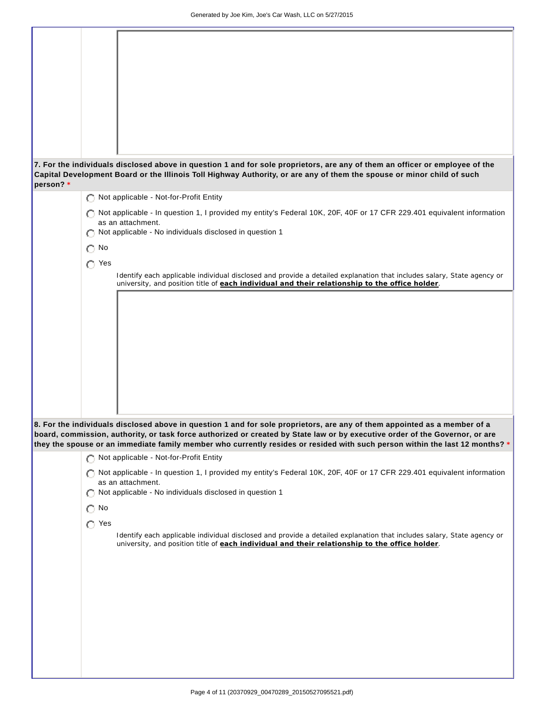| person? * |               | 7. For the individuals disclosed above in question 1 and for sole proprietors, are any of them an officer or employee of the<br>Capital Development Board or the Illinois Toll Highway Authority, or are any of them the spouse or minor child of such    |
|-----------|---------------|-----------------------------------------------------------------------------------------------------------------------------------------------------------------------------------------------------------------------------------------------------------|
|           |               | Not applicable - Not-for-Profit Entity                                                                                                                                                                                                                    |
|           |               |                                                                                                                                                                                                                                                           |
|           |               | Not applicable - In question 1, I provided my entity's Federal 10K, 20F, 40F or 17 CFR 229.401 equivalent information<br>as an attachment.                                                                                                                |
|           |               | Not applicable - No individuals disclosed in question 1                                                                                                                                                                                                   |
|           | No<br>O       |                                                                                                                                                                                                                                                           |
|           | $\bigcap$ Yes |                                                                                                                                                                                                                                                           |
|           |               | Identify each applicable individual disclosed and provide a detailed explanation that includes salary, State agency or                                                                                                                                    |
|           |               | university, and position title of each individual and their relationship to the office holder.                                                                                                                                                            |
|           |               |                                                                                                                                                                                                                                                           |
|           |               |                                                                                                                                                                                                                                                           |
|           |               |                                                                                                                                                                                                                                                           |
|           |               |                                                                                                                                                                                                                                                           |
|           |               |                                                                                                                                                                                                                                                           |
|           |               |                                                                                                                                                                                                                                                           |
|           |               |                                                                                                                                                                                                                                                           |
|           |               |                                                                                                                                                                                                                                                           |
|           |               |                                                                                                                                                                                                                                                           |
|           |               |                                                                                                                                                                                                                                                           |
|           |               |                                                                                                                                                                                                                                                           |
|           |               | 8. For the individuals disclosed above in question 1 and for sole proprietors, are any of them appointed as a member of a<br>board, commission, authority, or task force authorized or created by State law or by executive order of the Governor, or are |
|           |               | they the spouse or an immediate family member who currently resides or resided with such person within the last 12 months? *                                                                                                                              |
|           |               | Not applicable - Not-for-Profit Entity                                                                                                                                                                                                                    |
|           |               | Not applicable - In question 1, I provided my entity's Federal 10K, 20F, 40F or 17 CFR 229.401 equivalent information                                                                                                                                     |
|           |               | as an attachment.                                                                                                                                                                                                                                         |
|           | Ω             | Not applicable - No individuals disclosed in question 1                                                                                                                                                                                                   |
|           | No<br>О       |                                                                                                                                                                                                                                                           |
|           | $\bigcap$ Yes |                                                                                                                                                                                                                                                           |
|           |               | Identify each applicable individual disclosed and provide a detailed explanation that includes salary, State agency or                                                                                                                                    |
|           |               | university, and position title of each individual and their relationship to the office holder.                                                                                                                                                            |
|           |               |                                                                                                                                                                                                                                                           |
|           |               |                                                                                                                                                                                                                                                           |
|           |               |                                                                                                                                                                                                                                                           |
|           |               |                                                                                                                                                                                                                                                           |
|           |               |                                                                                                                                                                                                                                                           |
|           |               |                                                                                                                                                                                                                                                           |
|           |               |                                                                                                                                                                                                                                                           |
|           |               |                                                                                                                                                                                                                                                           |
|           |               |                                                                                                                                                                                                                                                           |
|           |               |                                                                                                                                                                                                                                                           |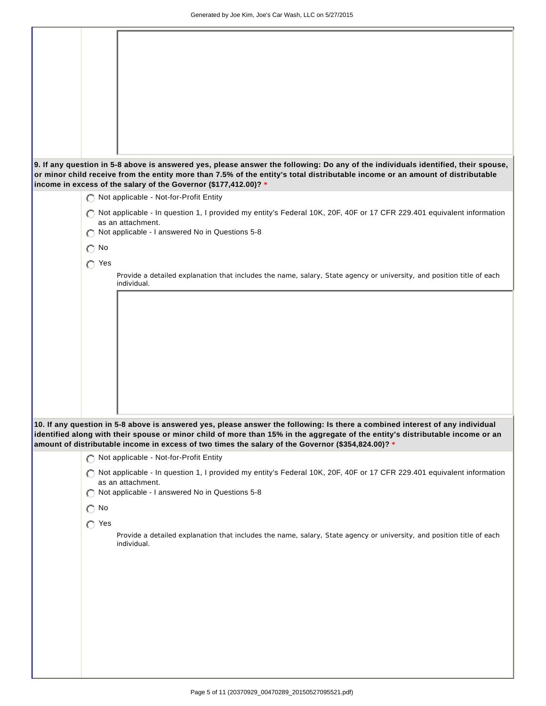|               | 9. If any question in 5-8 above is answered yes, please answer the following: Do any of the individuals identified, their spouse,                                                                                                                               |
|---------------|-----------------------------------------------------------------------------------------------------------------------------------------------------------------------------------------------------------------------------------------------------------------|
|               | or minor child receive from the entity more than 7.5% of the entity's total distributable income or an amount of distributable                                                                                                                                  |
|               | income in excess of the salary of the Governor (\$177,412.00)? *                                                                                                                                                                                                |
|               | Not applicable - Not-for-Profit Entity                                                                                                                                                                                                                          |
|               | Not applicable - In question 1, I provided my entity's Federal 10K, 20F, 40F or 17 CFR 229.401 equivalent information                                                                                                                                           |
|               | as an attachment.                                                                                                                                                                                                                                               |
|               | Not applicable - I answered No in Questions 5-8                                                                                                                                                                                                                 |
| No<br>Ω       |                                                                                                                                                                                                                                                                 |
|               |                                                                                                                                                                                                                                                                 |
| $\bigcap$ Yes |                                                                                                                                                                                                                                                                 |
|               | Provide a detailed explanation that includes the name, salary, State agency or university, and position title of each                                                                                                                                           |
|               | individual.                                                                                                                                                                                                                                                     |
|               |                                                                                                                                                                                                                                                                 |
|               |                                                                                                                                                                                                                                                                 |
|               |                                                                                                                                                                                                                                                                 |
|               |                                                                                                                                                                                                                                                                 |
|               |                                                                                                                                                                                                                                                                 |
|               |                                                                                                                                                                                                                                                                 |
|               |                                                                                                                                                                                                                                                                 |
|               |                                                                                                                                                                                                                                                                 |
|               |                                                                                                                                                                                                                                                                 |
|               |                                                                                                                                                                                                                                                                 |
|               |                                                                                                                                                                                                                                                                 |
|               |                                                                                                                                                                                                                                                                 |
|               | 10. If any question in 5-8 above is answered yes, please answer the following: Is there a combined interest of any individual<br>identified along with their spouse or minor child of more than 15% in the aggregate of the entity's distributable income or an |
|               | amount of distributable income in excess of two times the salary of the Governor (\$354,824.00)? *                                                                                                                                                              |
|               |                                                                                                                                                                                                                                                                 |
|               | Not applicable - Not-for-Profit Entity                                                                                                                                                                                                                          |
|               | Not applicable - In question 1, I provided my entity's Federal 10K, 20F, 40F or 17 CFR 229.401 equivalent information                                                                                                                                           |
|               | as an attachment.                                                                                                                                                                                                                                               |
| O             | Not applicable - I answered No in Questions 5-8                                                                                                                                                                                                                 |
| $\bigcirc$ No |                                                                                                                                                                                                                                                                 |
| $\bigcap$ Yes |                                                                                                                                                                                                                                                                 |
|               |                                                                                                                                                                                                                                                                 |
|               | Provide a detailed explanation that includes the name, salary, State agency or university, and position title of each<br>individual.                                                                                                                            |
|               |                                                                                                                                                                                                                                                                 |
|               |                                                                                                                                                                                                                                                                 |
|               |                                                                                                                                                                                                                                                                 |
|               |                                                                                                                                                                                                                                                                 |
|               |                                                                                                                                                                                                                                                                 |
|               |                                                                                                                                                                                                                                                                 |
|               |                                                                                                                                                                                                                                                                 |
|               |                                                                                                                                                                                                                                                                 |
|               |                                                                                                                                                                                                                                                                 |
|               |                                                                                                                                                                                                                                                                 |
|               |                                                                                                                                                                                                                                                                 |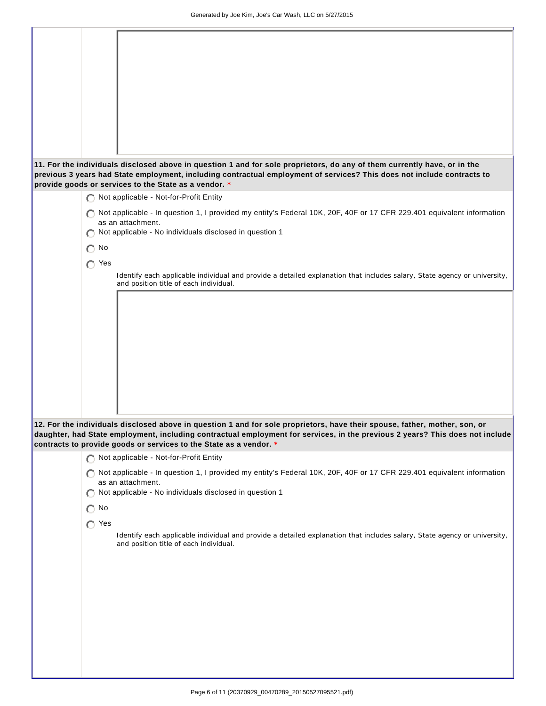|               | 11. For the individuals disclosed above in question 1 and for sole proprietors, do any of them currently have, or in the<br>previous 3 years had State employment, including contractual employment of services? This does not include contracts to<br>provide goods or services to the State as a vendor. * |
|---------------|--------------------------------------------------------------------------------------------------------------------------------------------------------------------------------------------------------------------------------------------------------------------------------------------------------------|
|               | Not applicable - Not-for-Profit Entity                                                                                                                                                                                                                                                                       |
|               |                                                                                                                                                                                                                                                                                                              |
|               | Not applicable - In question 1, I provided my entity's Federal 10K, 20F, 40F or 17 CFR 229.401 equivalent information<br>as an attachment.                                                                                                                                                                   |
|               | Not applicable - No individuals disclosed in question 1                                                                                                                                                                                                                                                      |
|               |                                                                                                                                                                                                                                                                                                              |
| $\bigcap$ No  |                                                                                                                                                                                                                                                                                                              |
| $\bigcap$ Yes |                                                                                                                                                                                                                                                                                                              |
|               | Identify each applicable individual and provide a detailed explanation that includes salary, State agency or university,                                                                                                                                                                                     |
|               | and position title of each individual.                                                                                                                                                                                                                                                                       |
|               |                                                                                                                                                                                                                                                                                                              |
|               |                                                                                                                                                                                                                                                                                                              |
|               |                                                                                                                                                                                                                                                                                                              |
|               |                                                                                                                                                                                                                                                                                                              |
|               |                                                                                                                                                                                                                                                                                                              |
|               |                                                                                                                                                                                                                                                                                                              |
|               |                                                                                                                                                                                                                                                                                                              |
|               |                                                                                                                                                                                                                                                                                                              |
|               |                                                                                                                                                                                                                                                                                                              |
|               |                                                                                                                                                                                                                                                                                                              |
|               | 12. For the individuals disclosed above in question 1 and for sole proprietors, have their spouse, father, mother, son, or                                                                                                                                                                                   |
|               | daughter, had State employment, including contractual employment for services, in the previous 2 years? This does not include                                                                                                                                                                                |
|               | contracts to provide goods or services to the State as a vendor. *                                                                                                                                                                                                                                           |
|               | Not applicable - Not-for-Profit Entity                                                                                                                                                                                                                                                                       |
|               | Not applicable - In question 1, I provided my entity's Federal 10K, 20F, 40F or 17 CFR 229.401 equivalent information<br>as an attachment.                                                                                                                                                                   |
|               | Not applicable - No individuals disclosed in question 1                                                                                                                                                                                                                                                      |
| $\bigcirc$ No |                                                                                                                                                                                                                                                                                                              |
|               |                                                                                                                                                                                                                                                                                                              |
| $\bigcap$ Yes |                                                                                                                                                                                                                                                                                                              |
|               | Identify each applicable individual and provide a detailed explanation that includes salary, State agency or university,<br>and position title of each individual.                                                                                                                                           |
|               |                                                                                                                                                                                                                                                                                                              |
|               |                                                                                                                                                                                                                                                                                                              |
|               |                                                                                                                                                                                                                                                                                                              |
|               |                                                                                                                                                                                                                                                                                                              |
|               |                                                                                                                                                                                                                                                                                                              |
|               |                                                                                                                                                                                                                                                                                                              |
|               |                                                                                                                                                                                                                                                                                                              |
|               |                                                                                                                                                                                                                                                                                                              |
|               |                                                                                                                                                                                                                                                                                                              |
|               |                                                                                                                                                                                                                                                                                                              |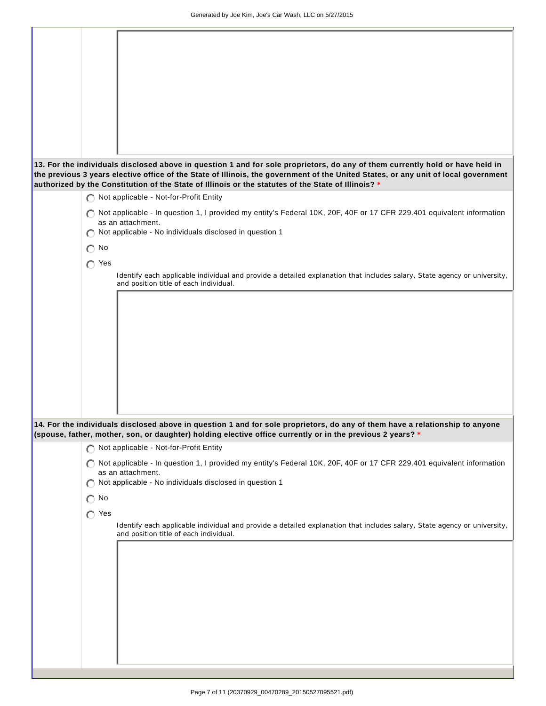| 13. For the individuals disclosed above in question 1 and for sole proprietors, do any of them currently hold or have held in<br>the previous 3 years elective office of the State of Illinois, the government of the United States, or any unit of local government<br>authorized by the Constitution of the State of Illinois or the statutes of the State of Illinois? * |  |
|-----------------------------------------------------------------------------------------------------------------------------------------------------------------------------------------------------------------------------------------------------------------------------------------------------------------------------------------------------------------------------|--|
| Not applicable - Not-for-Profit Entity                                                                                                                                                                                                                                                                                                                                      |  |
|                                                                                                                                                                                                                                                                                                                                                                             |  |
| Not applicable - In question 1, I provided my entity's Federal 10K, 20F, 40F or 17 CFR 229.401 equivalent information<br>as an attachment.                                                                                                                                                                                                                                  |  |
| Not applicable - No individuals disclosed in question 1                                                                                                                                                                                                                                                                                                                     |  |
| O                                                                                                                                                                                                                                                                                                                                                                           |  |
| $\bigcirc$ No                                                                                                                                                                                                                                                                                                                                                               |  |
| $\bigcap$ Yes                                                                                                                                                                                                                                                                                                                                                               |  |
| Identify each applicable individual and provide a detailed explanation that includes salary, State agency or university,                                                                                                                                                                                                                                                    |  |
| and position title of each individual.                                                                                                                                                                                                                                                                                                                                      |  |
|                                                                                                                                                                                                                                                                                                                                                                             |  |
|                                                                                                                                                                                                                                                                                                                                                                             |  |
|                                                                                                                                                                                                                                                                                                                                                                             |  |
|                                                                                                                                                                                                                                                                                                                                                                             |  |
|                                                                                                                                                                                                                                                                                                                                                                             |  |
|                                                                                                                                                                                                                                                                                                                                                                             |  |
|                                                                                                                                                                                                                                                                                                                                                                             |  |
|                                                                                                                                                                                                                                                                                                                                                                             |  |
|                                                                                                                                                                                                                                                                                                                                                                             |  |
|                                                                                                                                                                                                                                                                                                                                                                             |  |
|                                                                                                                                                                                                                                                                                                                                                                             |  |
|                                                                                                                                                                                                                                                                                                                                                                             |  |
| 14. For the individuals disclosed above in question 1 and for sole proprietors, do any of them have a relationship to anyone<br>(spouse, father, mother, son, or daughter) holding elective office currently or in the previous 2 years? *                                                                                                                                  |  |
| Not applicable - Not-for-Profit Entity                                                                                                                                                                                                                                                                                                                                      |  |
| Not applicable - In question 1, I provided my entity's Federal 10K, 20F, 40F or 17 CFR 229.401 equivalent information<br>O.                                                                                                                                                                                                                                                 |  |
| as an attachment.                                                                                                                                                                                                                                                                                                                                                           |  |
| Not applicable - No individuals disclosed in question 1<br>O                                                                                                                                                                                                                                                                                                                |  |
|                                                                                                                                                                                                                                                                                                                                                                             |  |
| $\bigcirc$ No                                                                                                                                                                                                                                                                                                                                                               |  |
| $\bigcirc$ Yes                                                                                                                                                                                                                                                                                                                                                              |  |
| Identify each applicable individual and provide a detailed explanation that includes salary, State agency or university,                                                                                                                                                                                                                                                    |  |
| and position title of each individual.                                                                                                                                                                                                                                                                                                                                      |  |
|                                                                                                                                                                                                                                                                                                                                                                             |  |
|                                                                                                                                                                                                                                                                                                                                                                             |  |
|                                                                                                                                                                                                                                                                                                                                                                             |  |
|                                                                                                                                                                                                                                                                                                                                                                             |  |
|                                                                                                                                                                                                                                                                                                                                                                             |  |
|                                                                                                                                                                                                                                                                                                                                                                             |  |
|                                                                                                                                                                                                                                                                                                                                                                             |  |
|                                                                                                                                                                                                                                                                                                                                                                             |  |
|                                                                                                                                                                                                                                                                                                                                                                             |  |
|                                                                                                                                                                                                                                                                                                                                                                             |  |
|                                                                                                                                                                                                                                                                                                                                                                             |  |
|                                                                                                                                                                                                                                                                                                                                                                             |  |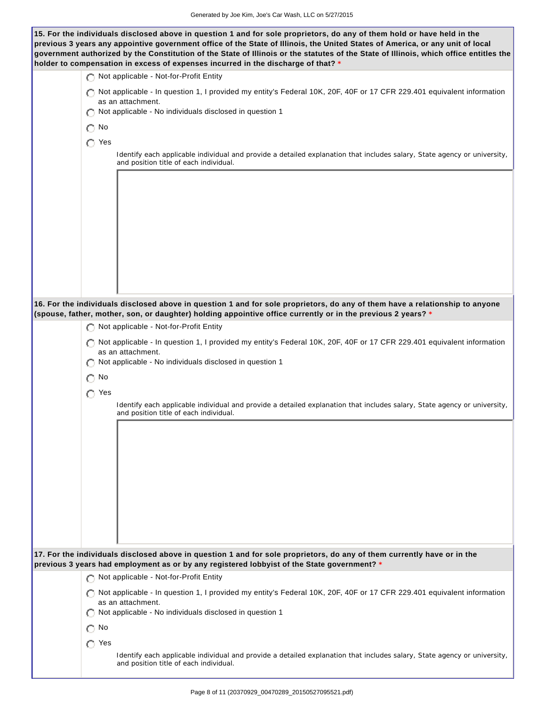**15. For the individuals disclosed above in question 1 and for sole proprietors, do any of them hold or have held in the**

| previous 3 years any appointive government office of the State of Illinois, the United States of America, or any unit of local<br>government authorized by the Constitution of the State of Illinois or the statutes of the State of Illinois, which office entitles the<br>holder to compensation in excess of expenses incurred in the discharge of that? * |
|---------------------------------------------------------------------------------------------------------------------------------------------------------------------------------------------------------------------------------------------------------------------------------------------------------------------------------------------------------------|
| Not applicable - Not-for-Profit Entity                                                                                                                                                                                                                                                                                                                        |
| Not applicable - In question 1, I provided my entity's Federal 10K, 20F, 40F or 17 CFR 229.401 equivalent information<br>as an attachment.<br>Not applicable - No individuals disclosed in question 1                                                                                                                                                         |
| No<br>О                                                                                                                                                                                                                                                                                                                                                       |
| $\bigcap$ Yes                                                                                                                                                                                                                                                                                                                                                 |
| Identify each applicable individual and provide a detailed explanation that includes salary, State agency or university,<br>and position title of each individual.                                                                                                                                                                                            |
|                                                                                                                                                                                                                                                                                                                                                               |
| 16. For the individuals disclosed above in question 1 and for sole proprietors, do any of them have a relationship to anyone<br>(spouse, father, mother, son, or daughter) holding appointive office currently or in the previous 2 years? *                                                                                                                  |
| Not applicable - Not-for-Profit Entity                                                                                                                                                                                                                                                                                                                        |
| Not applicable - In question 1, I provided my entity's Federal 10K, 20F, 40F or 17 CFR 229.401 equivalent information<br>as an attachment.<br>Not applicable - No individuals disclosed in question 1                                                                                                                                                         |
| $\bigcap$ No                                                                                                                                                                                                                                                                                                                                                  |
| $\bigcap$ Yes<br>Identify each applicable individual and provide a detailed explanation that includes salary, State agency or university,<br>and position title of each individual.                                                                                                                                                                           |
|                                                                                                                                                                                                                                                                                                                                                               |
| 17. For the individuals disclosed above in question 1 and for sole proprietors, do any of them currently have or in the<br>previous 3 years had employment as or by any registered lobbyist of the State government? *                                                                                                                                        |
| Not applicable - Not-for-Profit Entity                                                                                                                                                                                                                                                                                                                        |
| Not applicable - In question 1, I provided my entity's Federal 10K, 20F, 40F or 17 CFR 229.401 equivalent information<br>as an attachment.<br>Not applicable - No individuals disclosed in question 1                                                                                                                                                         |
| $\bigcap$ No                                                                                                                                                                                                                                                                                                                                                  |
| $\bigcap$ Yes                                                                                                                                                                                                                                                                                                                                                 |
| Identify each applicable individual and provide a detailed explanation that includes salary, State agency or university,<br>and position title of each individual.                                                                                                                                                                                            |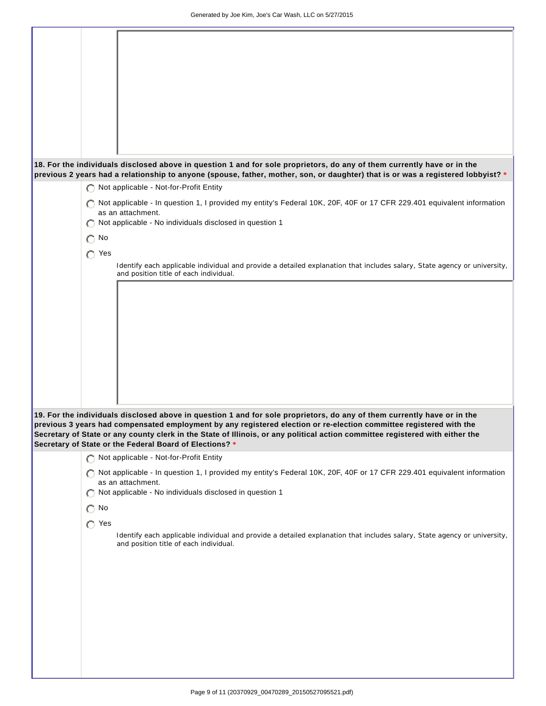|               | 18. For the individuals disclosed above in question 1 and for sole proprietors, do any of them currently have or in the                                            |
|---------------|--------------------------------------------------------------------------------------------------------------------------------------------------------------------|
|               | previous 2 years had a relationship to anyone (spouse, father, mother, son, or daughter) that is or was a registered lobbyist? *                                   |
|               | Not applicable - Not-for-Profit Entity                                                                                                                             |
|               |                                                                                                                                                                    |
|               | Not applicable - In question 1, I provided my entity's Federal 10K, 20F, 40F or 17 CFR 229.401 equivalent information                                              |
|               | as an attachment.                                                                                                                                                  |
|               | Not applicable - No individuals disclosed in question 1                                                                                                            |
| $\bigcap$ No  |                                                                                                                                                                    |
| $\bigcap$ Yes |                                                                                                                                                                    |
|               |                                                                                                                                                                    |
|               | Identify each applicable individual and provide a detailed explanation that includes salary, State agency or university,<br>and position title of each individual. |
|               |                                                                                                                                                                    |
|               |                                                                                                                                                                    |
|               |                                                                                                                                                                    |
|               |                                                                                                                                                                    |
|               |                                                                                                                                                                    |
|               |                                                                                                                                                                    |
|               |                                                                                                                                                                    |
|               |                                                                                                                                                                    |
|               |                                                                                                                                                                    |
|               |                                                                                                                                                                    |
|               |                                                                                                                                                                    |
|               |                                                                                                                                                                    |
|               | 19. For the individuals disclosed above in question 1 and for sole proprietors, do any of them currently have or in the                                            |
|               | previous 3 years had compensated employment by any registered election or re-election committee registered with the                                                |
|               | Secretary of State or any county clerk in the State of Illinois, or any political action committee registered with either the                                      |
|               | Secretary of State or the Federal Board of Elections? *                                                                                                            |
|               | Not applicable - Not-for-Profit Entity                                                                                                                             |
|               |                                                                                                                                                                    |
|               | Not applicable - In question 1, I provided my entity's Federal 10K, 20F, 40F or 17 CFR 229.401 equivalent information<br>as an attachment.                         |
|               | Not applicable - No individuals disclosed in question 1                                                                                                            |
|               |                                                                                                                                                                    |
| $\bigcirc$ No |                                                                                                                                                                    |
| $\bigcap$ Yes |                                                                                                                                                                    |
|               | Identify each applicable individual and provide a detailed explanation that includes salary, State agency or university,                                           |
|               | and position title of each individual.                                                                                                                             |
|               |                                                                                                                                                                    |
|               |                                                                                                                                                                    |
|               |                                                                                                                                                                    |
|               |                                                                                                                                                                    |
|               |                                                                                                                                                                    |
|               |                                                                                                                                                                    |
|               |                                                                                                                                                                    |
|               |                                                                                                                                                                    |
|               |                                                                                                                                                                    |
|               |                                                                                                                                                                    |
|               |                                                                                                                                                                    |
|               |                                                                                                                                                                    |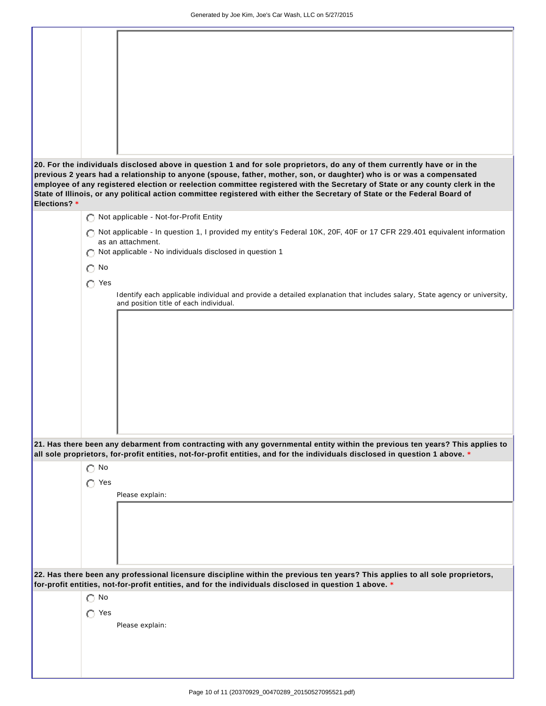|              | 20. For the individuals disclosed above in question 1 and for sole proprietors, do any of them currently have or in the<br>previous 2 years had a relationship to anyone (spouse, father, mother, son, or daughter) who is or was a compensated<br>employee of any registered election or reelection committee registered with the Secretary of State or any county clerk in the<br>State of Illinois, or any political action committee registered with either the Secretary of State or the Federal Board of |
|--------------|----------------------------------------------------------------------------------------------------------------------------------------------------------------------------------------------------------------------------------------------------------------------------------------------------------------------------------------------------------------------------------------------------------------------------------------------------------------------------------------------------------------|
| Elections? * |                                                                                                                                                                                                                                                                                                                                                                                                                                                                                                                |
|              | Not applicable - Not-for-Profit Entity                                                                                                                                                                                                                                                                                                                                                                                                                                                                         |
|              |                                                                                                                                                                                                                                                                                                                                                                                                                                                                                                                |
|              | Not applicable - In question 1, I provided my entity's Federal 10K, 20F, 40F or 17 CFR 229.401 equivalent information<br>as an attachment.                                                                                                                                                                                                                                                                                                                                                                     |
|              | Not applicable - No individuals disclosed in question 1                                                                                                                                                                                                                                                                                                                                                                                                                                                        |
|              | $\bigcap$ No                                                                                                                                                                                                                                                                                                                                                                                                                                                                                                   |
|              |                                                                                                                                                                                                                                                                                                                                                                                                                                                                                                                |
|              | $\bigcap$ Yes                                                                                                                                                                                                                                                                                                                                                                                                                                                                                                  |
|              | Identify each applicable individual and provide a detailed explanation that includes salary, State agency or university,<br>and position title of each individual.                                                                                                                                                                                                                                                                                                                                             |
|              |                                                                                                                                                                                                                                                                                                                                                                                                                                                                                                                |
|              |                                                                                                                                                                                                                                                                                                                                                                                                                                                                                                                |
|              |                                                                                                                                                                                                                                                                                                                                                                                                                                                                                                                |
|              |                                                                                                                                                                                                                                                                                                                                                                                                                                                                                                                |
|              |                                                                                                                                                                                                                                                                                                                                                                                                                                                                                                                |
|              |                                                                                                                                                                                                                                                                                                                                                                                                                                                                                                                |
|              |                                                                                                                                                                                                                                                                                                                                                                                                                                                                                                                |
|              |                                                                                                                                                                                                                                                                                                                                                                                                                                                                                                                |
|              |                                                                                                                                                                                                                                                                                                                                                                                                                                                                                                                |
|              |                                                                                                                                                                                                                                                                                                                                                                                                                                                                                                                |
|              |                                                                                                                                                                                                                                                                                                                                                                                                                                                                                                                |
|              | 21. Has there been any debarment from contracting with any governmental entity within the previous ten years? This applies to                                                                                                                                                                                                                                                                                                                                                                                  |
|              | all sole proprietors, for-profit entities, not-for-profit entities, and for the individuals disclosed in question 1 above. *                                                                                                                                                                                                                                                                                                                                                                                   |
|              | $\bigcap$ No                                                                                                                                                                                                                                                                                                                                                                                                                                                                                                   |
|              | $\bigcap$ Yes                                                                                                                                                                                                                                                                                                                                                                                                                                                                                                  |
|              | Please explain:                                                                                                                                                                                                                                                                                                                                                                                                                                                                                                |
|              |                                                                                                                                                                                                                                                                                                                                                                                                                                                                                                                |
|              |                                                                                                                                                                                                                                                                                                                                                                                                                                                                                                                |
|              |                                                                                                                                                                                                                                                                                                                                                                                                                                                                                                                |
|              |                                                                                                                                                                                                                                                                                                                                                                                                                                                                                                                |
|              |                                                                                                                                                                                                                                                                                                                                                                                                                                                                                                                |
|              |                                                                                                                                                                                                                                                                                                                                                                                                                                                                                                                |
|              | 22. Has there been any professional licensure discipline within the previous ten years? This applies to all sole proprietors,<br>for-profit entities, not-for-profit entities, and for the individuals disclosed in question 1 above. *                                                                                                                                                                                                                                                                        |
|              | $\bigcap$ No                                                                                                                                                                                                                                                                                                                                                                                                                                                                                                   |
|              | $\bigcap$ Yes                                                                                                                                                                                                                                                                                                                                                                                                                                                                                                  |
|              | Please explain:                                                                                                                                                                                                                                                                                                                                                                                                                                                                                                |
|              |                                                                                                                                                                                                                                                                                                                                                                                                                                                                                                                |
|              |                                                                                                                                                                                                                                                                                                                                                                                                                                                                                                                |
|              |                                                                                                                                                                                                                                                                                                                                                                                                                                                                                                                |
|              |                                                                                                                                                                                                                                                                                                                                                                                                                                                                                                                |